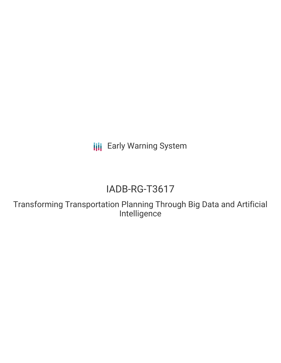**III** Early Warning System

# IADB-RG-T3617

Transforming Transportation Planning Through Big Data and Artificial Intelligence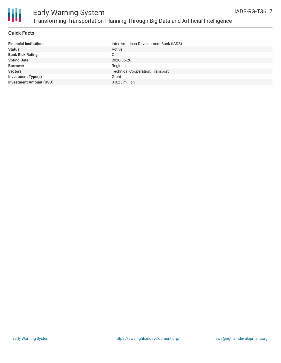

#### **Quick Facts**

| <b>Financial Institutions</b>  | Inter-American Development Bank (IADB)  |
|--------------------------------|-----------------------------------------|
| <b>Status</b>                  | Active                                  |
| <b>Bank Risk Rating</b>        | C.                                      |
| <b>Voting Date</b>             | 2020-05-26                              |
| <b>Borrower</b>                | Regional                                |
| <b>Sectors</b>                 | <b>Technical Cooperation, Transport</b> |
| <b>Investment Type(s)</b>      | Grant                                   |
| <b>Investment Amount (USD)</b> | $$0.25$ million                         |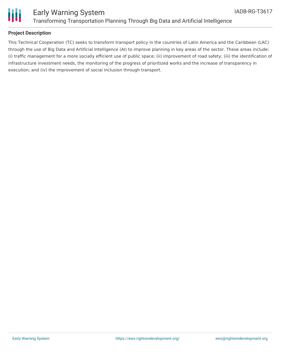



#### **Project Description**

This Technical Cooperation (TC) seeks to transform transport policy in the countries of Latin America and the Caribbean (LAC) through the use of Big Data and Artificial Intelligence (AI) to improve planning in key areas of the sector. These areas include: (i) traffic management for a more socially efficient use of public space; (ii) improvement of road safety; (iii) the identification of infrastructure investment needs, the monitoring of the progress of prioritized works and the increase of transparency in execution; and (iv) the improvement of social inclusion through transport.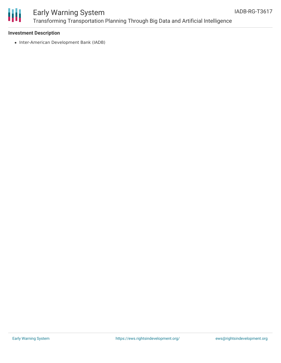

### Early Warning System Transforming Transportation Planning Through Big Data and Artificial Intelligence

#### **Investment Description**

• Inter-American Development Bank (IADB)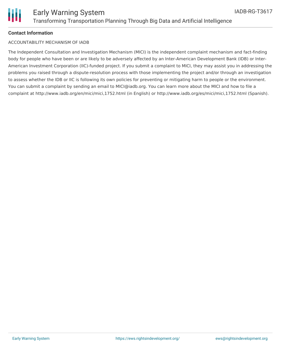

#### **Contact Information**

#### ACCOUNTABILITY MECHANISM OF IADB

The Independent Consultation and Investigation Mechanism (MICI) is the independent complaint mechanism and fact-finding body for people who have been or are likely to be adversely affected by an Inter-American Development Bank (IDB) or Inter-American Investment Corporation (IIC)-funded project. If you submit a complaint to MICI, they may assist you in addressing the problems you raised through a dispute-resolution process with those implementing the project and/or through an investigation to assess whether the IDB or IIC is following its own policies for preventing or mitigating harm to people or the environment. You can submit a complaint by sending an email to MICI@iadb.org. You can learn more about the MICI and how to file a complaint at http://www.iadb.org/en/mici/mici,1752.html (in English) or http://www.iadb.org/es/mici/mici,1752.html (Spanish).